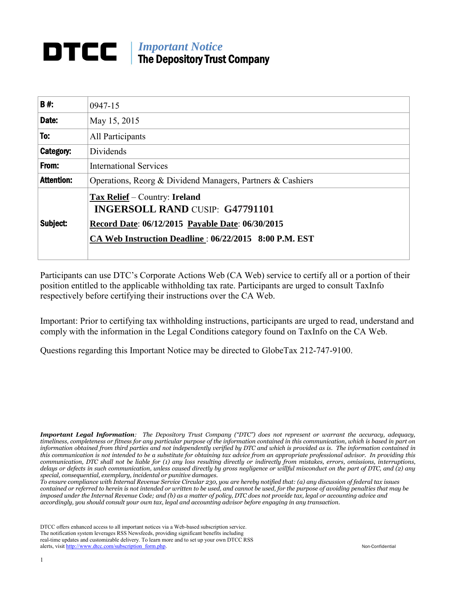## **IMPortant Notice** The Depository Trust Company

| B#:               | 0947-15                                                                                                                                                                              |  |  |  |  |
|-------------------|--------------------------------------------------------------------------------------------------------------------------------------------------------------------------------------|--|--|--|--|
| Date:             | May 15, 2015                                                                                                                                                                         |  |  |  |  |
| To:               | All Participants                                                                                                                                                                     |  |  |  |  |
| Category:         | Dividends                                                                                                                                                                            |  |  |  |  |
| From:             | <b>International Services</b>                                                                                                                                                        |  |  |  |  |
| <b>Attention:</b> | Operations, Reorg & Dividend Managers, Partners & Cashiers                                                                                                                           |  |  |  |  |
| Subject:          | Tax Relief – Country: Ireland<br><b>INGERSOLL RAND CUSIP: G47791101</b><br>Record Date: 06/12/2015 Payable Date: 06/30/2015<br>CA Web Instruction Deadline: 06/22/2015 8:00 P.M. EST |  |  |  |  |

Participants can use DTC's Corporate Actions Web (CA Web) service to certify all or a portion of their position entitled to the applicable withholding tax rate. Participants are urged to consult TaxInfo respectively before certifying their instructions over the CA Web.

Important: Prior to certifying tax withholding instructions, participants are urged to read, understand and comply with the information in the Legal Conditions category found on TaxInfo on the CA Web.

Questions regarding this Important Notice may be directed to GlobeTax 212-747-9100.

*Important Legal Information: The Depository Trust Company ("DTC") does not represent or warrant the accuracy, adequacy, timeliness, completeness or fitness for any particular purpose of the information contained in this communication, which is based in part on information obtained from third parties and not independently verified by DTC and which is provided as is. The information contained in this communication is not intended to be a substitute for obtaining tax advice from an appropriate professional advisor. In providing this communication, DTC shall not be liable for (1) any loss resulting directly or indirectly from mistakes, errors, omissions, interruptions, delays or defects in such communication, unless caused directly by gross negligence or willful misconduct on the part of DTC, and (2) any special, consequential, exemplary, incidental or punitive damages.* 

*To ensure compliance with Internal Revenue Service Circular 230, you are hereby notified that: (a) any discussion of federal tax issues contained or referred to herein is not intended or written to be used, and cannot be used, for the purpose of avoiding penalties that may be imposed under the Internal Revenue Code; and (b) as a matter of policy, DTC does not provide tax, legal or accounting advice and accordingly, you should consult your own tax, legal and accounting advisor before engaging in any transaction.*

DTCC offers enhanced access to all important notices via a Web-based subscription service. The notification system leverages RSS Newsfeeds, providing significant benefits including real-time updates and customizable delivery. To learn more and to set up your own DTCC RSS alerts, visit [http://www.dtcc.com/subscription\\_form.php.](http://www.dtcc.com/subscription_form.php) Non-Confidential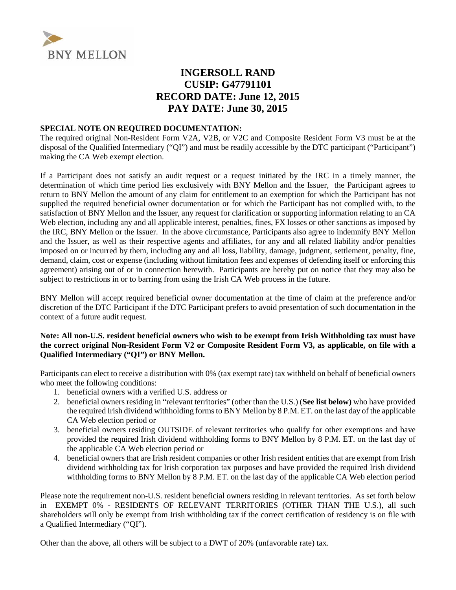

### **INGERSOLL RAND CUSIP: G47791101 RECORD DATE: June 12, 2015 PAY DATE: June 30, 2015**

#### **SPECIAL NOTE ON REQUIRED DOCUMENTATION:**

The required original Non-Resident Form V2A, V2B, or V2C and Composite Resident Form V3 must be at the disposal of the Qualified Intermediary ("QI") and must be readily accessible by the DTC participant ("Participant") making the CA Web exempt election.

If a Participant does not satisfy an audit request or a request initiated by the IRC in a timely manner, the determination of which time period lies exclusively with BNY Mellon and the Issuer, the Participant agrees to return to BNY Mellon the amount of any claim for entitlement to an exemption for which the Participant has not supplied the required beneficial owner documentation or for which the Participant has not complied with, to the satisfaction of BNY Mellon and the Issuer, any request for clarification or supporting information relating to an CA Web election, including any and all applicable interest, penalties, fines, FX losses or other sanctions as imposed by the IRC, BNY Mellon or the Issuer. In the above circumstance, Participants also agree to indemnify BNY Mellon and the Issuer, as well as their respective agents and affiliates, for any and all related liability and/or penalties imposed on or incurred by them, including any and all loss, liability, damage, judgment, settlement, penalty, fine, demand, claim, cost or expense (including without limitation fees and expenses of defending itself or enforcing this agreement) arising out of or in connection herewith. Participants are hereby put on notice that they may also be subject to restrictions in or to barring from using the Irish CA Web process in the future.

BNY Mellon will accept required beneficial owner documentation at the time of claim at the preference and/or discretion of the DTC Participant if the DTC Participant prefers to avoid presentation of such documentation in the context of a future audit request.

#### **Note: All non-U.S. resident beneficial owners who wish to be exempt from Irish Withholding tax must have the correct original Non-Resident Form V2 or Composite Resident Form V3, as applicable, on file with a Qualified Intermediary ("QI") or BNY Mellon.**

Participants can elect to receive a distribution with 0% (tax exempt rate) tax withheld on behalf of beneficial owners who meet the following conditions:

- 1. beneficial owners with a verified U.S. address or
- 2. beneficial owners residing in "relevant territories" (other than the U.S.) (**See list below)** who have provided the required Irish dividend withholding forms to BNY Mellon by 8 P.M. ET. on the last day of the applicable CA Web election period or
- 3. beneficial owners residing OUTSIDE of relevant territories who qualify for other exemptions and have provided the required Irish dividend withholding forms to BNY Mellon by 8 P.M. ET. on the last day of the applicable CA Web election period or
- 4. beneficial owners that are Irish resident companies or other Irish resident entities that are exempt from Irish dividend withholding tax for Irish corporation tax purposes and have provided the required Irish dividend withholding forms to BNY Mellon by 8 P.M. ET. on the last day of the applicable CA Web election period

Please note the requirement non-U.S. resident beneficial owners residing in relevant territories. As set forth below inEXEMPT 0% - RESIDENTS OF RELEVANT TERRITORIES (OTHER THAN THE U.S.), all such shareholders will only be exempt from Irish withholding tax if the correct certification of residency is on file with a Qualified Intermediary ("QI").

Other than the above, all others will be subject to a DWT of 20% (unfavorable rate) tax.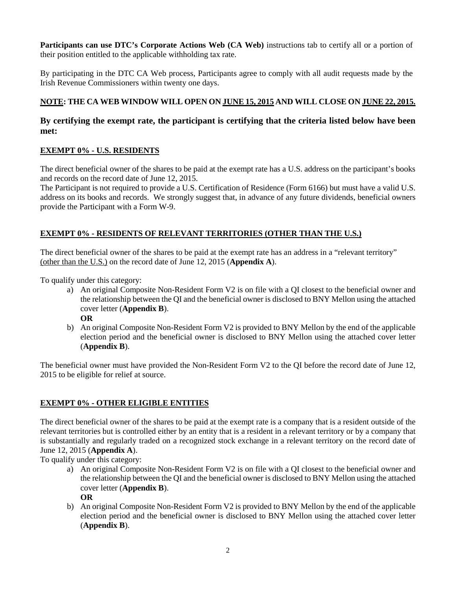**Participants can use DTC's Corporate Actions Web (CA Web)** instructions tab to certify all or a portion of their position entitled to the applicable withholding tax rate.

By participating in the DTC CA Web process, Participants agree to comply with all audit requests made by the Irish Revenue Commissioners within twenty one days.

#### **NOTE: THE CA WEB WINDOW WILL OPEN ON JUNE 15, 2015 AND WILL CLOSE ON JUNE 22, 2015.**

#### **By certifying the exempt rate, the participant is certifying that the criteria listed below have been met:**

#### **EXEMPT 0% - U.S. RESIDENTS**

The direct beneficial owner of the shares to be paid at the exempt rate has a U.S. address on the participant's books and records on the record date of June 12, 2015.

The Participant is not required to provide a U.S. Certification of Residence (Form 6166) but must have a valid U.S. address on its books and records. We strongly suggest that, in advance of any future dividends, beneficial owners provide the Participant with a Form W-9.

#### **EXEMPT 0% - RESIDENTS OF RELEVANT TERRITORIES (OTHER THAN THE U.S.)**

The direct beneficial owner of the shares to be paid at the exempt rate has an address in a "relevant territory" (other than the U.S.) on the record date of June 12, 2015 (**Appendix A**).

To qualify under this category:

a) An original Composite Non-Resident Form V2 is on file with a QI closest to the beneficial owner and the relationship between the QI and the beneficial owner is disclosed to BNY Mellon using the attached cover letter (**Appendix B**).

**OR**

b) An original Composite Non-Resident Form V2 is provided to BNY Mellon by the end of the applicable election period and the beneficial owner is disclosed to BNY Mellon using the attached cover letter (**Appendix B**).

The beneficial owner must have provided the Non-Resident Form V2 to the QI before the record date of June 12, 2015 to be eligible for relief at source.

#### **EXEMPT 0% - OTHER ELIGIBLE ENTITIES**

The direct beneficial owner of the shares to be paid at the exempt rate is a company that is a resident outside of the relevant territories but is controlled either by an entity that is a resident in a relevant territory or by a company that is substantially and regularly traded on a recognized stock exchange in a relevant territory on the record date of June 12, 2015 (**Appendix A**).

To qualify under this category:

a) An original Composite Non-Resident Form V2 is on file with a QI closest to the beneficial owner and the relationship between the QI and the beneficial owner is disclosed to BNY Mellon using the attached cover letter (**Appendix B**).

**OR**

b) An original Composite Non-Resident Form V2 is provided to BNY Mellon by the end of the applicable election period and the beneficial owner is disclosed to BNY Mellon using the attached cover letter (**Appendix B**).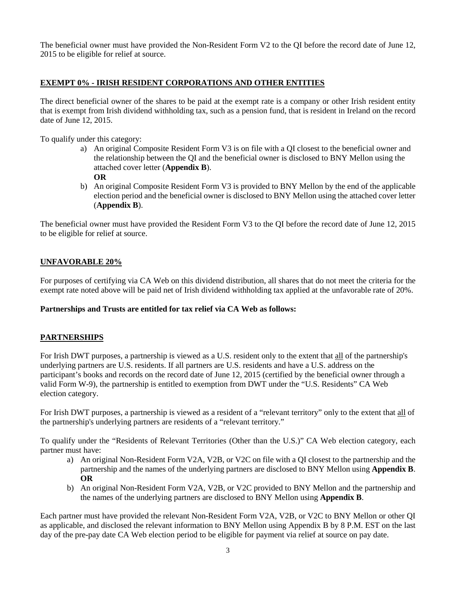The beneficial owner must have provided the Non-Resident Form V2 to the QI before the record date of June 12, 2015 to be eligible for relief at source.

#### **EXEMPT 0% - IRISH RESIDENT CORPORATIONS AND OTHER ENTITIES**

The direct beneficial owner of the shares to be paid at the exempt rate is a company or other Irish resident entity that is exempt from Irish dividend withholding tax, such as a pension fund, that is resident in Ireland on the record date of June 12, 2015.

To qualify under this category:

- a) An original Composite Resident Form V3 is on file with a QI closest to the beneficial owner and the relationship between the QI and the beneficial owner is disclosed to BNY Mellon using the attached cover letter (**Appendix B**).
	- **OR**
- b) An original Composite Resident Form V3 is provided to BNY Mellon by the end of the applicable election period and the beneficial owner is disclosed to BNY Mellon using the attached cover letter (**Appendix B**).

The beneficial owner must have provided the Resident Form V3 to the QI before the record date of June 12, 2015 to be eligible for relief at source.

#### **UNFAVORABLE 20%**

For purposes of certifying via CA Web on this dividend distribution, all shares that do not meet the criteria for the exempt rate noted above will be paid net of Irish dividend withholding tax applied at the unfavorable rate of 20%.

#### **Partnerships and Trusts are entitled for tax relief via CA Web as follows:**

#### **PARTNERSHIPS**

For Irish DWT purposes, a partnership is viewed as a U.S. resident only to the extent that all of the partnership's underlying partners are U.S. residents. If all partners are U.S. residents and have a U.S. address on the participant's books and records on the record date of June 12, 2015 (certified by the beneficial owner through a valid Form W-9), the partnership is entitled to exemption from DWT under the "U.S. Residents" CA Web election category.

For Irish DWT purposes, a partnership is viewed as a resident of a "relevant territory" only to the extent that all of the partnership's underlying partners are residents of a "relevant territory."

To qualify under the "Residents of Relevant Territories (Other than the U.S.)" CA Web election category, each partner must have:

- a) An original Non-Resident Form V2A, V2B, or V2C on file with a QI closest to the partnership and the partnership and the names of the underlying partners are disclosed to BNY Mellon using **Appendix B**. **OR**
- b) An original Non-Resident Form V2A, V2B, or V2C provided to BNY Mellon and the partnership and the names of the underlying partners are disclosed to BNY Mellon using **Appendix B**.

Each partner must have provided the relevant Non-Resident Form V2A, V2B, or V2C to BNY Mellon or other QI as applicable, and disclosed the relevant information to BNY Mellon using Appendix B by 8 P.M. EST on the last day of the pre-pay date CA Web election period to be eligible for payment via relief at source on pay date.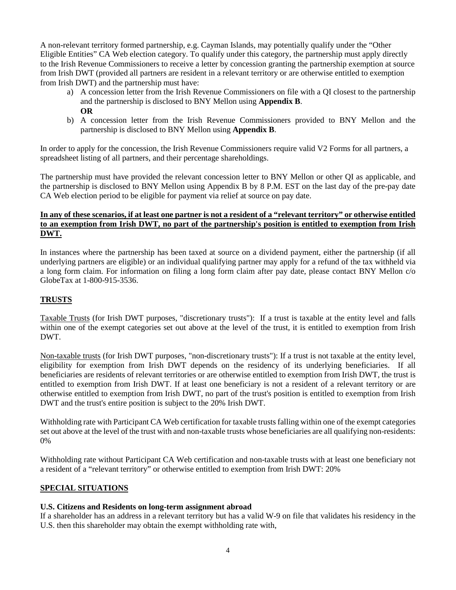A non-relevant territory formed partnership, e.g. Cayman Islands, may potentially qualify under the "Other Eligible Entities" CA Web election category. To qualify under this category, the partnership must apply directly to the Irish Revenue Commissioners to receive a letter by concession granting the partnership exemption at source from Irish DWT (provided all partners are resident in a relevant territory or are otherwise entitled to exemption from Irish DWT) and the partnership must have:

- a) A concession letter from the Irish Revenue Commissioners on file with a QI closest to the partnership and the partnership is disclosed to BNY Mellon using **Appendix B**. **OR**
- b) A concession letter from the Irish Revenue Commissioners provided to BNY Mellon and the partnership is disclosed to BNY Mellon using **Appendix B**.

In order to apply for the concession, the Irish Revenue Commissioners require valid V2 Forms for all partners, a spreadsheet listing of all partners, and their percentage shareholdings.

The partnership must have provided the relevant concession letter to BNY Mellon or other QI as applicable, and the partnership is disclosed to BNY Mellon using Appendix B by 8 P.M. EST on the last day of the pre-pay date CA Web election period to be eligible for payment via relief at source on pay date.

#### **In any of these scenarios, if at least one partner is not a resident of a "relevant territory" or otherwise entitled to an exemption from Irish DWT, no part of the partnership's position is entitled to exemption from Irish DWT.**

In instances where the partnership has been taxed at source on a dividend payment, either the partnership (if all underlying partners are eligible) or an individual qualifying partner may apply for a refund of the tax withheld via a long form claim. For information on filing a long form claim after pay date, please contact BNY Mellon c/o GlobeTax at 1-800-915-3536.

#### **TRUSTS**

Taxable Trusts (for Irish DWT purposes, "discretionary trusts"): If a trust is taxable at the entity level and falls within one of the exempt categories set out above at the level of the trust, it is entitled to exemption from Irish DWT.

Non-taxable trusts (for Irish DWT purposes, "non-discretionary trusts"): If a trust is not taxable at the entity level, eligibility for exemption from Irish DWT depends on the residency of its underlying beneficiaries. If all beneficiaries are residents of relevant territories or are otherwise entitled to exemption from Irish DWT, the trust is entitled to exemption from Irish DWT. If at least one beneficiary is not a resident of a relevant territory or are otherwise entitled to exemption from Irish DWT, no part of the trust's position is entitled to exemption from Irish DWT and the trust's entire position is subject to the 20% Irish DWT.

Withholding rate with Participant CA Web certification for taxable trusts falling within one of the exempt categories set out above at the level of the trust with and non-taxable trusts whose beneficiaries are all qualifying non-residents: 0%

Withholding rate without Participant CA Web certification and non-taxable trusts with at least one beneficiary not a resident of a "relevant territory" or otherwise entitled to exemption from Irish DWT: 20%

#### **SPECIAL SITUATIONS**

#### **U.S. Citizens and Residents on long-term assignment abroad**

If a shareholder has an address in a relevant territory but has a valid W-9 on file that validates his residency in the U.S. then this shareholder may obtain the exempt withholding rate with,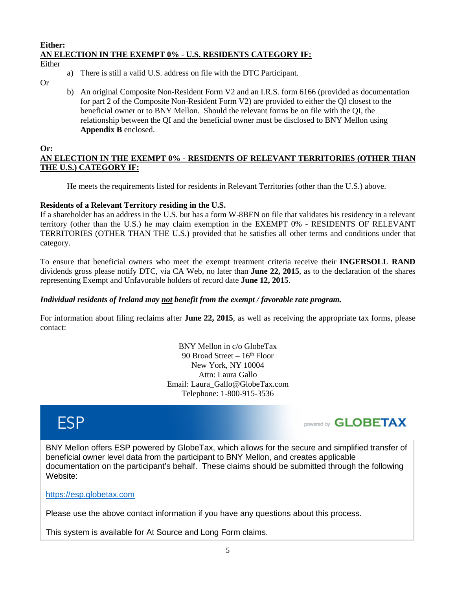#### **Either: AN ELECTION IN THE EXEMPT 0% - U.S. RESIDENTS CATEGORY IF:**

Either

- a) There is still a valid U.S. address on file with the DTC Participant.
- Or
- b) An original Composite Non-Resident Form V2 and an I.R.S. form 6166 (provided as documentation for part 2 of the Composite Non-Resident Form V2) are provided to either the QI closest to the beneficial owner or to BNY Mellon. Should the relevant forms be on file with the QI, the relationship between the QI and the beneficial owner must be disclosed to BNY Mellon using **Appendix B** enclosed.

#### **Or:**

#### **AN ELECTION IN THE EXEMPT 0% - RESIDENTS OF RELEVANT TERRITORIES (OTHER THAN THE U.S.) CATEGORY IF:**

He meets the requirements listed for residents in Relevant Territories (other than the U.S.) above.

#### **Residents of a Relevant Territory residing in the U.S.**

If a shareholder has an address in the U.S. but has a form W-8BEN on file that validates his residency in a relevant territory (other than the U.S.) he may claim exemption in the EXEMPT 0% - RESIDENTS OF RELEVANT TERRITORIES (OTHER THAN THE U.S.) provided that he satisfies all other terms and conditions under that category.

To ensure that beneficial owners who meet the exempt treatment criteria receive their **INGERSOLL RAND**  dividends gross please notify DTC, via CA Web, no later than **June 22, 2015**, as to the declaration of the shares representing Exempt and Unfavorable holders of record date **June 12, 2015**.

#### *Individual residents of Ireland may not benefit from the exempt / favorable rate program.*

For information about filing reclaims after **June 22, 2015**, as well as receiving the appropriate tax forms, please contact:

> BNY Mellon in c/o GlobeTax 90 Broad Street  $-16<sup>th</sup>$  Floor New York, NY 10004 Attn: Laura Gallo Email: Laura\_Gallo@GlobeTax.com Telephone: 1-800-915-3536

# **ESP**



BNY Mellon offers ESP powered by GlobeTax, which allows for the secure and simplified transfer of beneficial owner level data from the participant to BNY Mellon, and creates applicable documentation on the participant's behalf. These claims should be submitted through the following Website:

#### [https://esp.globetax.com](https://esp.globetax.com/)

Please use the above contact information if you have any questions about this process.

This system is available for At Source and Long Form claims.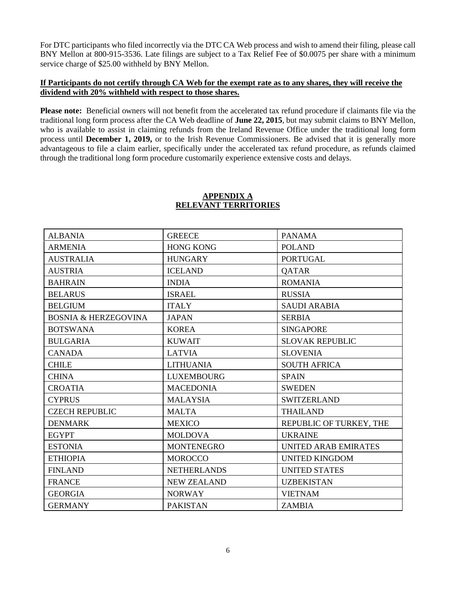For DTC participants who filed incorrectly via the DTC CA Web process and wish to amend their filing, please call BNY Mellon at 800-915-3536. Late filings are subject to a Tax Relief Fee of \$0.0075 per share with a minimum service charge of \$25.00 withheld by BNY Mellon.

#### **If Participants do not certify through CA Web for the exempt rate as to any shares, they will receive the dividend with 20% withheld with respect to those shares.**

**Please note:** Beneficial owners will not benefit from the accelerated tax refund procedure if claimants file via the traditional long form process after the CA Web deadline of **June 22, 2015**, but may submit claims to BNY Mellon, who is available to assist in claiming refunds from the Ireland Revenue Office under the traditional long form process until **December 1, 2019,** or to the Irish Revenue Commissioners. Be advised that it is generally more advantageous to file a claim earlier, specifically under the accelerated tax refund procedure, as refunds claimed through the traditional long form procedure customarily experience extensive costs and delays.

| <b>ALBANIA</b>                  | <b>GREECE</b>      | <b>PANAMA</b>           |  |
|---------------------------------|--------------------|-------------------------|--|
| <b>ARMENIA</b>                  | <b>HONG KONG</b>   | <b>POLAND</b>           |  |
| <b>AUSTRALIA</b>                | <b>HUNGARY</b>     | <b>PORTUGAL</b>         |  |
| <b>AUSTRIA</b>                  | <b>ICELAND</b>     | <b>QATAR</b>            |  |
| <b>BAHRAIN</b>                  | <b>INDIA</b>       | <b>ROMANIA</b>          |  |
| <b>BELARUS</b>                  | <b>ISRAEL</b>      | <b>RUSSIA</b>           |  |
| <b>BELGIUM</b>                  | <b>ITALY</b>       | <b>SAUDI ARABIA</b>     |  |
| <b>BOSNIA &amp; HERZEGOVINA</b> | <b>JAPAN</b>       | <b>SERBIA</b>           |  |
| <b>BOTSWANA</b>                 | <b>KOREA</b>       | <b>SINGAPORE</b>        |  |
| <b>BULGARIA</b>                 | <b>KUWAIT</b>      | <b>SLOVAK REPUBLIC</b>  |  |
| <b>CANADA</b>                   | <b>LATVIA</b>      | <b>SLOVENIA</b>         |  |
| <b>CHILE</b>                    | <b>LITHUANIA</b>   | <b>SOUTH AFRICA</b>     |  |
| <b>CHINA</b>                    | <b>LUXEMBOURG</b>  | <b>SPAIN</b>            |  |
| <b>CROATIA</b>                  | <b>MACEDONIA</b>   | <b>SWEDEN</b>           |  |
| <b>CYPRUS</b>                   | <b>MALAYSIA</b>    | <b>SWITZERLAND</b>      |  |
| <b>CZECH REPUBLIC</b>           | <b>MALTA</b>       | <b>THAILAND</b>         |  |
| <b>DENMARK</b>                  | <b>MEXICO</b>      | REPUBLIC OF TURKEY, THE |  |
| <b>EGYPT</b>                    | <b>MOLDOVA</b>     | <b>UKRAINE</b>          |  |
| <b>ESTONIA</b>                  | <b>MONTENEGRO</b>  | UNITED ARAB EMIRATES    |  |
| <b>ETHIOPIA</b>                 | <b>MOROCCO</b>     | <b>UNITED KINGDOM</b>   |  |
| <b>FINLAND</b>                  | <b>NETHERLANDS</b> | <b>UNITED STATES</b>    |  |
| <b>FRANCE</b>                   | <b>NEW ZEALAND</b> | <b>UZBEKISTAN</b>       |  |
| <b>GEORGIA</b>                  | <b>NORWAY</b>      | <b>VIETNAM</b>          |  |
| <b>GERMANY</b>                  | <b>PAKISTAN</b>    | <b>ZAMBIA</b>           |  |

#### **APPENDIX A RELEVANT TERRITORIES**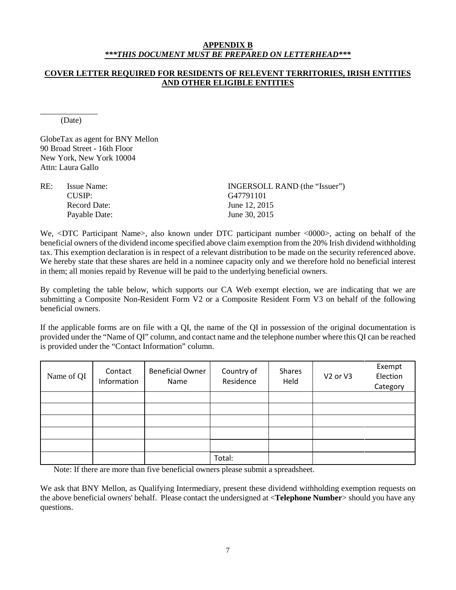#### **APPENDIX B** *\*\*\*THIS DOCUMENT MUST BE PREPARED ON LETTERHEAD\*\*\**

#### **COVER LETTER REQUIRED FOR RESIDENTS OF RELEVENT TERRITORIES, IRISH ENTITIES AND OTHER ELIGIBLE ENTITIES**

\_\_\_\_\_\_\_\_\_\_\_\_\_\_ (Date)

GlobeTax as agent for BNY Mellon 90 Broad Street - 16th Floor New York, New York 10004 Attn: Laura Gallo

| RE: | Issue Name:   | INGERSOLL RAND (the "Issuer") |
|-----|---------------|-------------------------------|
|     | CIISIP:       | G47791101                     |
|     | Record Date:  | June 12, 2015                 |
|     | Payable Date: | June 30, 2015                 |
|     |               |                               |

We, <DTC Participant Name>, also known under DTC participant number <0000>, acting on behalf of the beneficial owners of the dividend income specified above claim exemption from the 20% Irish dividend withholding tax. This exemption declaration is in respect of a relevant distribution to be made on the security referenced above. We hereby state that these shares are held in a nominee capacity only and we therefore hold no beneficial interest in them; all monies repaid by Revenue will be paid to the underlying beneficial owners.

By completing the table below, which supports our CA Web exempt election, we are indicating that we are submitting a Composite Non-Resident Form V2 or a Composite Resident Form V3 on behalf of the following beneficial owners.

If the applicable forms are on file with a QI, the name of the QI in possession of the original documentation is provided under the "Name of QI" column, and contact name and the telephone number where this QI can be reached is provided under the "Contact Information" column.

| Name of QI | Contact<br>Information | <b>Beneficial Owner</b><br>Name | Country of<br>Residence | Shares<br>Held | V <sub>2</sub> or V <sub>3</sub> | Exempt<br>Election<br>Category |
|------------|------------------------|---------------------------------|-------------------------|----------------|----------------------------------|--------------------------------|
|            |                        |                                 |                         |                |                                  |                                |
|            |                        |                                 |                         |                |                                  |                                |
|            |                        |                                 |                         |                |                                  |                                |
|            |                        |                                 |                         |                |                                  |                                |
|            |                        |                                 |                         |                |                                  |                                |
|            |                        |                                 | Total:                  |                |                                  |                                |

Note: If there are more than five beneficial owners please submit a spreadsheet.

We ask that BNY Mellon, as Qualifying Intermediary, present these dividend withholding exemption requests on the above beneficial owners' behalf. Please contact the undersigned at <**Telephone Number**> should you have any questions.